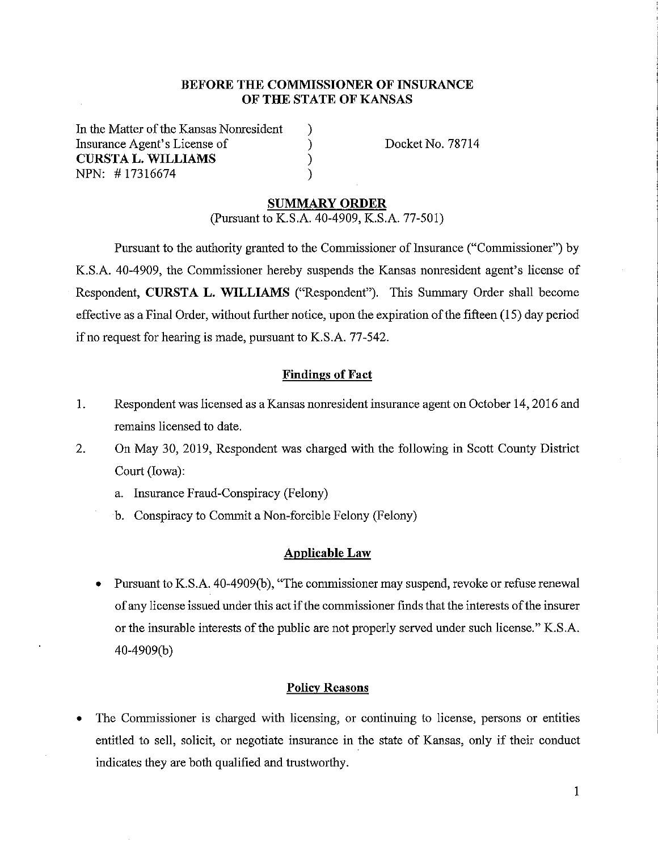# **BEFORE THE COMMISSIONER OF INSURANCE OF THE STATE OF KANSAS**

) ) ) )

In the Matter of the Kansas Nomesident Insurance Agent's License of **CURSTA L. WILLIAMS**  NPN: # 17316674

Docket No. 78714

### **SUMMARY ORDER**

(Pursuant to K.S.A. 40-4909, K.S.A. 77-501)

Pursuant to the authority granted to the Commissioner of Insurance ("Commissioner") by K.S.A. 40-4909, the Commissioner hereby suspends the Kansas nomesident agent's license of Respondent, **CURSTA L. WILLIAMS** ("Respondent"). This Summary Order shall become effective as a Final Order, without further notice, upon the expiration of the fifteen (15) day period if no request for hearing is made, pursuant to K.S.A. 77-542.

#### **Findings of Fact**

- 1. Respondent was licensed as a Kansas nomesident insurance agent on October 14, 2016 and remains licensed to date.
- 2. On May 30, 2019, Respondent was charged with the following in Scott County District Court (Iowa):
	- a. Insurance Fraud-Conspiracy (Felony)
	- b. Conspiracy to Commit a Non-forcible Felony (Felony)

#### **Applicable Law**

Pursuant to K.S.A. 40-4909(b), "The commissioner may suspend, revoke or refuse renewal of any license issued under this act if the commissioner finds that the interests of the insurer or the insurable interests of the public are not properly served under such license." K.S.A. 40-4909(b)

#### **Policy Reasons**

The Commissioner is charged with licensing, or continuing to license, persons or entities entitled to sell, solicit, or negotiate insurance in the state of Kansas, only if their conduct indicates they are both qualified and trustworthy.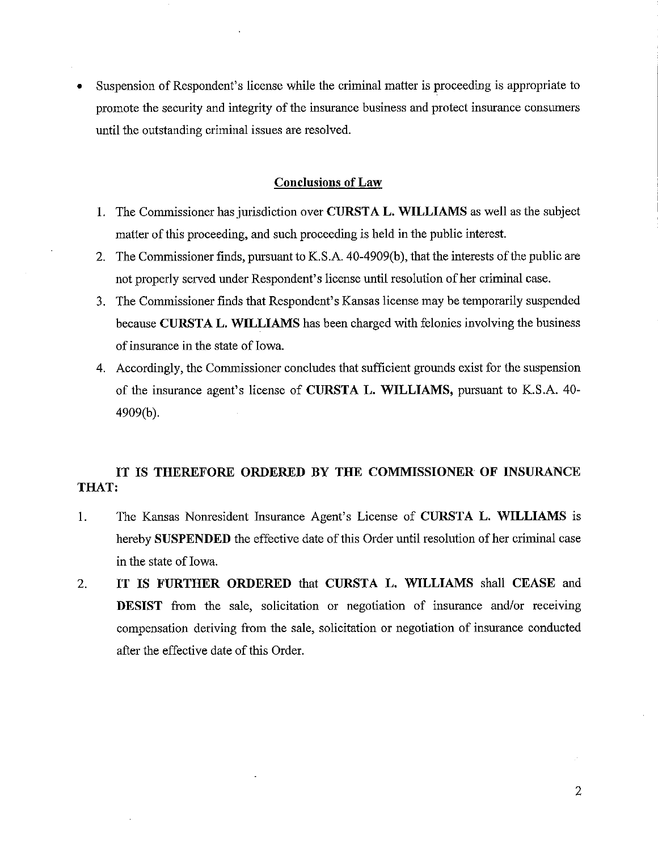• Suspension of Respondent's license while the criminal matter is proceeding is appropriate to promote the security and integrity of the insurance business and protect insurance consumers until the outstanding criminal issues are resolved.

#### **Conclusions of Law**

- 1. The Commissioner has jurisdiction over **CURSTA L. WILLIAMS** as well as the subject matter of this proceeding, and such proceeding is held in the public interest.
- 2. The Commissioner finds, pursuant to K.S.A. 40-4909(b), that the interests of the public are not properly served under Respondent's license until resolution of her criminal case.
- 3. The Commissioner finds that Respondent's Kansas license may be temporarily suspended because **CURST A L. WILLIAMS** has been charged with felonies involving the business of insurance in the state of Iowa.
- 4. Accordingly, the Commissioner concludes that sufficient grounds exist for the suspension of the insurance agent's license of **CURSTA L. WILLIAMS,** pursuant to K.S.A. 40- 4909(b).

# **IT IS THEREFORE ORDERED BY THE COMMISSIONER OF INSURANCE THAT:**

- I. The Kansas Nonresident Insurance Agent's License of **CURSTA L. WILLIAMS** is hereby **SUSPENDED** the effective date of this Order until resolution of her criminal case in the state of Iowa.
- 2. **IT IS FURTHER ORDERED** that **CURSTA L. WILLIAMS** shall **CEASE** and **DESIST** from the sale, solicitation or negotiation of insurance and/or receiving compensation deriving from the sale, solicitation or negotiation of insurance conducted after the effective date of this Order.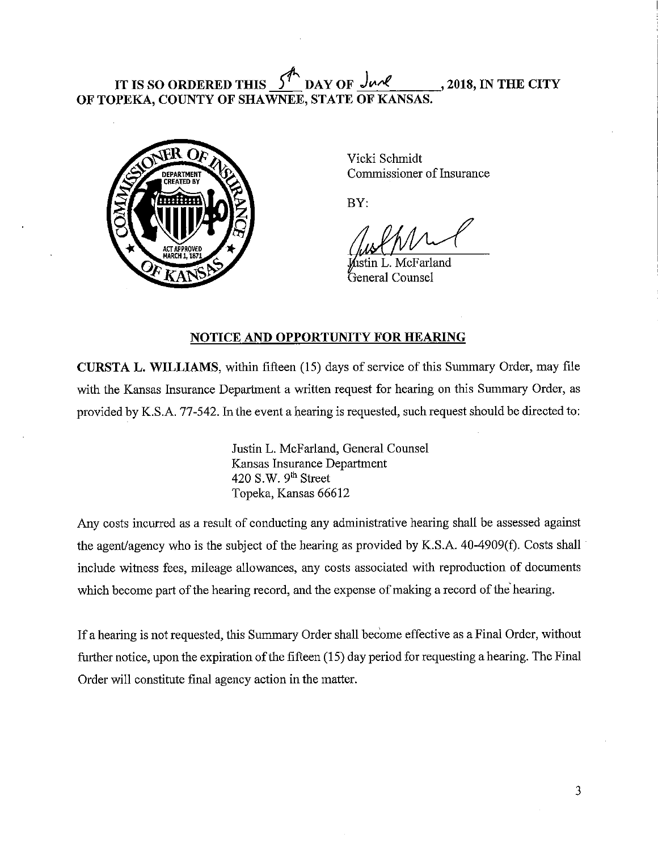# **IT IS SO ORDERED THIS**  $\frac{5^{n}}{n}$  DAY OF  $\frac{J_{\mu\mu}}{n}$ , 2018, IN THE CITY **OF TOPEKA, COUNTY OF SHAWNEE, STATE OF KANSAS.**



Vicki Schmidt Commissioner of Insurance

BY:

n L. McFarland General Counsel

# **NOTICE AND OPPORTUNITY FOR HEARING**

**CURSTA L. WILLIAMS,** within fifteen (15) days of service of this Sununary Order, may file with the Kansas Insurance Department a written request for hearing on this Summary Order, as provided by K.S.A. 77-542. In the event a hearing is requested, such request should be directed to:

> Justin L. McFarland, General Counsel Kansas Insurance Department 420 S.W.  $9<sup>th</sup>$  Street Topeka, Kansas 66612

Any costs incurred as a result of conducting any administrative hearing shall be assessed against the agent/agency who is the subject of the hearing as provided by K.S.A.  $40-4909(f)$ . Costs shall include witness fees, mileage allowances, any costs associated with reproduction of documents which become part of the hearing record, and the expense of making a record of the hearing.

If a hearing is not requested, this Summary Order shall become effective as a Final Order, without further notice, upon the expiration of the fifteen (15) day period for requesting a hearing. The Final Order will constitute final agency action in the matter.